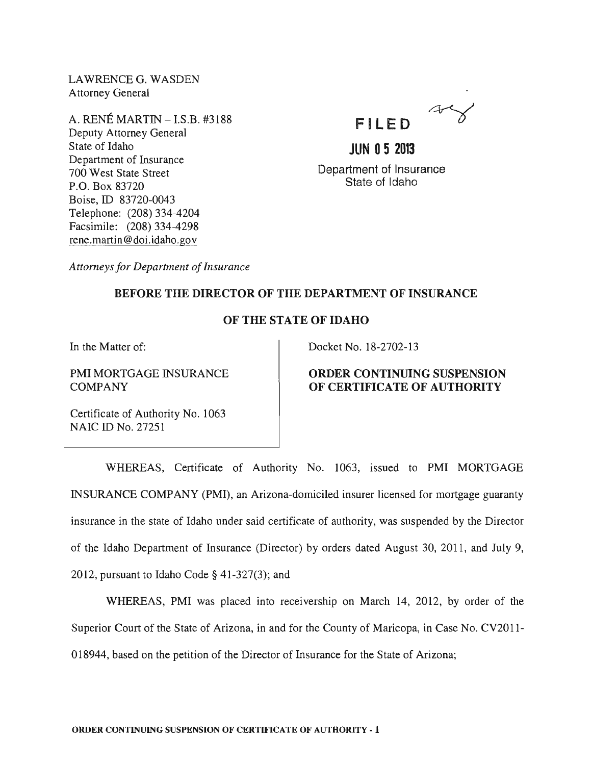LAWRENCE G. WASDEN Attorney General

A. RENE MARTIN - LS.B. #3188 Deputy Attorney General State of Idaho Department of Insurance 700 West State Street P.O. Box 83720 Boise, ID 83720-0043 Telephone: (208) 334-4204 Facsimile: (208) 334-4298 rene. martin @doi.idaho.gov



**JUN 05 2013**  Department of Insurance State of Idaho

*Attorneys for Department of Insurance* 

## BEFORE THE DIRECTOR OF THE DEPARTMENT OF INSURANCE

# OF THE STATE OF IDAHO

In the Matter of:

PMI MORTGAGE INSURANCE **COMPANY** 

Docket No. 18-2702-13

## ORDER CONTINUING SUSPENSION OF CERTIFICATE OF AUTHORITY

Certificate of Authority No. 1063 NAIC ID No. 27251

WHEREAS, Certificate of Authority No. 1063, issued to PMI MORTGAGE INSURANCE COMPANY (PMI), an Arizona-domiciled insurer licensed for mortgage guaranty insurance in the state of Idaho under said certificate of authority, was suspended by the Director of the Idaho Department of Insurance (Director) by orders dated August 30, 2011, and July 9, 2012, pursuant to Idaho Code  $\S$  41-327(3); and

WHEREAS, PMI was placed into receivership on March 14, 2012, by order of the Superior Court of the State of Arizona, in and for the County of Maricopa, in Case No. CV2011- 018944, based on the petition of the Director of Insurance for the State of Arizona;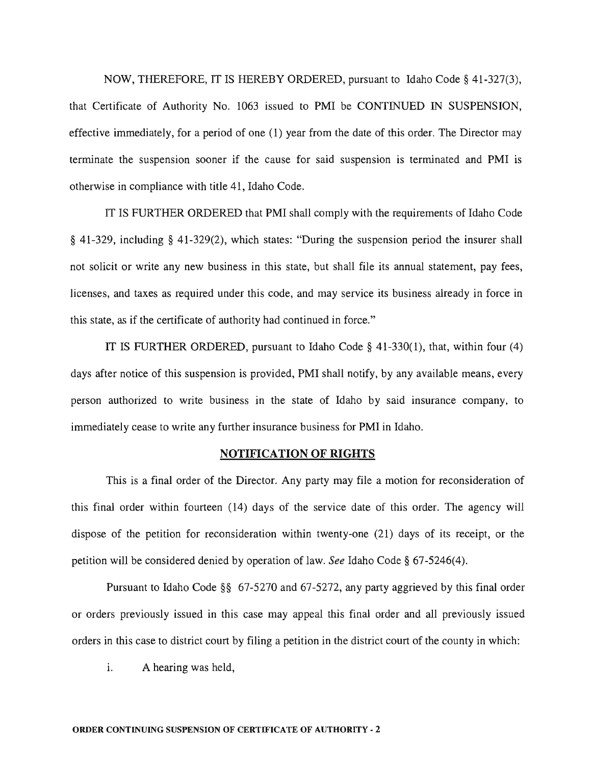NOW, THEREFORE, IT IS HEREBY ORDERED, pursuant to Idaho Code § 41-327(3), that Certificate of Authority No. 1063 issued to PMI be CONTINUED IN SUSPENSION, effective immediately, for a period of one (1) year from the date of this order. The Director may terminate the suspension sooner if the cause for said suspension is terminated and PMI is otherwise in compliance with title 41, Idaho Code.

IT IS FURTHER ORDERED that PMI shall comply with the requirements of Idaho Code § 41-329, including § 41-329(2), which states: "During the suspension period the insurer shall not solicit or write any new business in this state, but shall file its annual statement, pay fees, licenses, and taxes as required under this code, and may service its business already in force in this state, as if the certificate of authority had continued in force."

IT IS FURTHER ORDERED, pursuant to Idaho Code  $\S$  41-330(1), that, within four (4) days after notice of this suspension is provided, PMI shall notify, by any available means, every person authorized to write business in the state of Idaho by said insurance company, to immediately cease to write any further insurance business for PMI in Idaho.

#### NOTIFICATION OF RIGHTS

This is a final order of the Director. Any party may file a motion for reconsideration of this final order within fourteen (14) days of the service date of this order. The agency will dispose of the petition for reconsideration within twenty-one (21) days of its receipt, or the petition will be considered denied by operation of law. *See* Idaho Code § 67-5246(4).

Pursuant to Idaho Code §§ 67-5270 and 67-5272, any party aggrieved by this final order or orders previously issued in this case may appeal this final order and all previously issued orders in this case to district court by filing a petition in the district court of the county in which:

i. A hearing was held,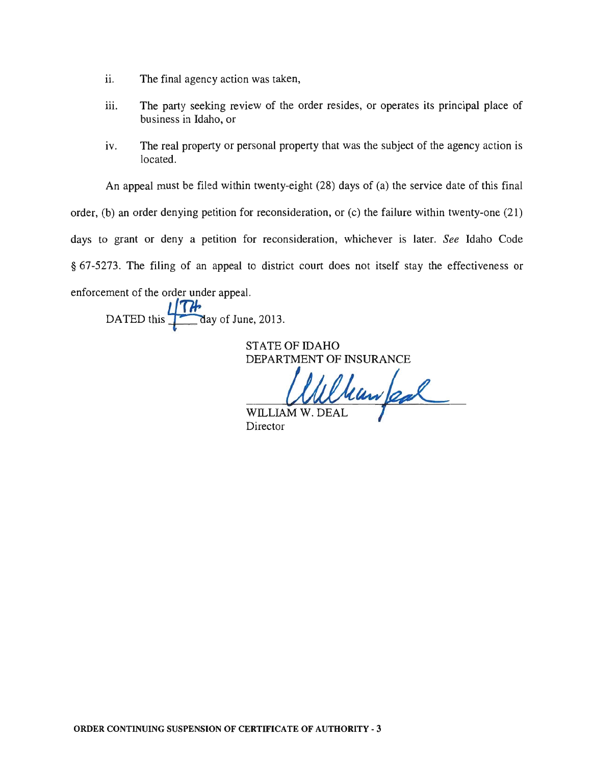- ii. The final agency action was taken,
- iii. The party seeking review of the order resides, or operates its principal place of business in Idaho, or
- iv. The real property or personal property that was the subject of the agency action is located.

An appeal must be filed within twenty-eight (28) days of (a) the service date of this final

order, (b) an order denying petition for reconsideration, or (c) the failure within twenty-one (21)

days to grant or deny a petition for reconsideration, whichever is later. *See* Idaho Code

§ 67-5273. The filing of an appeal to district court does not itself stay the effectiveness or

enforcement of the order under appeal.

DATED this **a** ay of June, 2013.

STATE OF IDAHO DEPARTMENT OF INSURANCE

 $U$ llluw $\alpha$ W. DEAL

WILLIAM Director